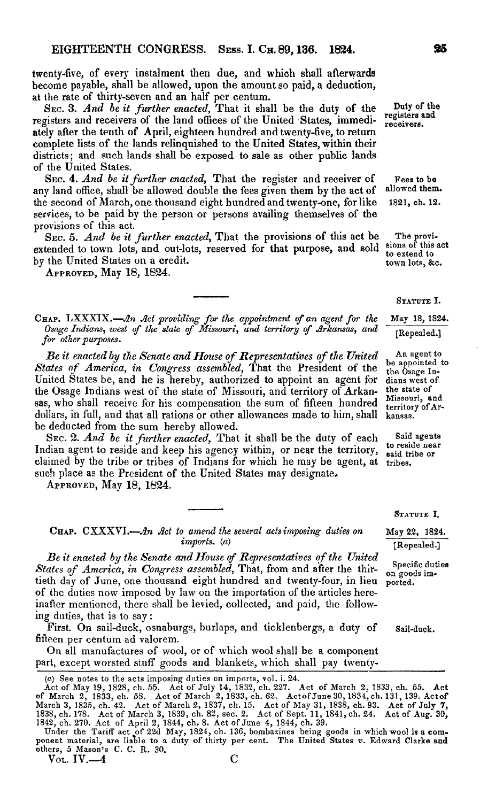twenty-five, of every instalment then due, and which shall afterwards become payable, shall be allowed, upon the amount so paid, a deduction, at the rate of thirty-seven and an half per centum.

Sec. 3. *And be it further enacted,* That it shall be the duty of the registers and receivers of the land offices of the United States, immediately after the tenth of April, eighteen hundred and twenty-five, to return complete lists of the lands relinquished to the United States, within their districts; and such lands shall be exposed to sale as other public lands of the United States.

Sec. 4. *And be itfurther enacted,* That the register and receiver of any land office, shall be allowed double the fees given them by the act of the second of March, one thousand eight hundred and twenty-one, for like services, to be paid by the person or persons availing themselves of the provisions of this act.

Sec. 5. *And be it further enacted,* That the provisions of this act be extended to town lots, and out-lots, reserved for that purpose, and sold by the United States on a credit.

Approved, May 18, 1824.

**<sup>C</sup>hap.** LXXXIX.—*An Act providing for the appointment tf an agent for the Osage Indians, west tf the state of Missouri, and territory of Arkansas, and for otherpurposes.*

*Be it enacted by the Senate and House ofRepresentatives ofthe United States of America, in Congress assembled,* That the President of the United States be, and he is hereby, authorized to appoint an agent for the Osage Indians west of the state of Missouri, and territory of Arkansas, who shall receive for his compensation the sum of fifteen hundred dollars, in full, and that all rations or other allowances made to him, shall be deducted from the sum hereby allowed.

Sec. 2. *And be it further enacted,* That it shall be the duty of each Indian agent to reside and keep his agency within, or near the territory, claimed by the tribe or tribes of Indians for which he may be agent, at tribes. such place as the President of the United States may designate.

Approved, May 18, 1824.

Chap. CXXXVI.—*Jin Act io amend the several actsimposing duties on* May 22, 1824.  $\boldsymbol{imports.}$  (a)  $\boldsymbol{[Repeated.]}$ 

*Be it enacted by the Senate andHouse cf Representatives ofthe United* States of America, in Congress assembled, That, from and after the thir- on goods imtieth day of June, one thousand eight hundred and twenty-four, in lieu ported, of the duties now imposed by law on the importation of the articles hereinafter mentioned, there shall be levied, collected, and paid, the following duties, that is to say:

First. On sail-duck, osnaburgs, burlaps, and ticklenbergs, a duty of Sail-duck. fifteen per centum ad valorem.

On all manufactures of wool, or of which wool shall be a component part, except worsted stuff goods and blankets, which shall pay twenty-

(a) See notes to the acts imposing duties on imports, vol. i. 24.

Duty of the registers and receivers.

Fees to be allowed them. 1821, ch. 12.

The provi-sions of this act to extend to town lots, &c.

STATUTE I.

May 18, 1824.

[Repealed.]

An agent to be appointed to the Osage Indians west of the state of Missouri, and territory of Arkansas.

Said agents to reside near said tribe or

## STATUTE I.

Act of May 19, 1828, ch. 55. Act of July 14, 1832, ch. 227. Act of March 2, 1833, ch. 55. Act of March 2, 1833, ch. 58. Act of March 2, 1833, ch. 62. Act of March 2, 1834, ch. 131, 139. Act of March 3, 1835, ch. 42. Act of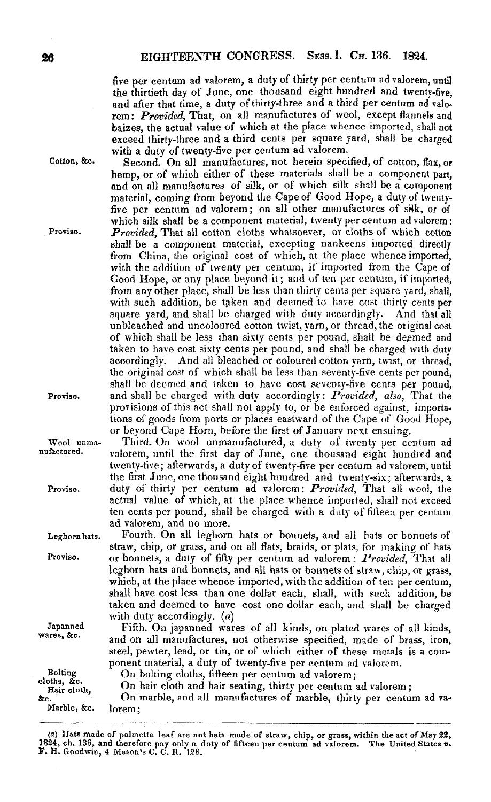five per centum ad valorem, a duty of thirty per centum ad valorem, until the thirtieth day of June, one thousand eight hundred and twenty-five, and after that time, a duty of thirty-three and a third per centum ad valorem: *Provided,* That, on ail manufactures of wool, except flannels and baizes, the actual value of which at the place whence imported, shall not exceed thirty-three and a third cents per square yard, shall be charged with a duty of twenty-five per centum ad valorem.

Second. On all manufactures, not herein specified, of cotton, flax, or hemp, or of which either of these materials shall be a component part, and on all manufactures of silk, or of which silk shall be a component material, coming from beyond the Cape of Good Hope, a duty of twentyfive per centum ad valorem; on all other manufactures of silk, or of which silk shall be a component material, twenty per centum ad valorem: *Provided,* That all cotton cloths whatsoever, or cloths of which cotton shall be a component material, excepting nankeens imported directly from China, the original cost of which, at the place whence imported, with the addition of twenty per centum, if imported from the Cape of Good Hope, or any place beyond it; and of ten per centum, if imported, from any other place, shall be less than thirty cents per square yard, shall, with such addition, be tgken and deemed to have cost thirty cents per square yard, and shall be charged with duty accordingly. And that all unbleached and uncoloured cotton twist, yarn, or thread, the original cost of which shall be less than sixty cents per pound, shall be degmed and taken to have cost sixty cents per pound, and shall be charged with duty accordingly. And all bleached or coloured cotton yarn, twist, or thread, the original cost of which shall be less than seventy-five cents per pound, shall be deemed and taken to have cost seventy-five cents per pound, and shall be charged with duty accordingly: *Provided, also,* That the provisions of this act shall not apply to, or be enforced against, importations of goods from ports or places eastward of the Cape of Good Hope, or beyond Cape Horn, before the first of January next ensuing.

Third. On wool unmanufactured, a duty of twenty per centum ad valorem, until the first day of June, one thousand eight hundred and twenty-five; afterwards, a duty of twenty-five per centum ad valorem, until the first June, one thousand eight hundred and twenty-six; afterwards, a duty of thirty per centum ad valorem: *Provided,* That all wool, the actual value of which, at the place whence imported, shall not exceed ten cents per pound, shall be charged with a duty of fifteen per centum ad valorem, and no more.

Fourth. On all leghorn hats or bonnets, and all hats or bonnets of straw, chip, or grass, and on all flats, braids, or plats, for making of hats or bonnets, a duty of fifty per centum ad valorem: *Provided,* That all leghorn hats and bonnets, and all hats or bonnets of straw, chip, or grass, which, at the place whence imported, with the addition of ten per centum, shall have cost less than one dollar each, shall, with such addition, be taken and deemed to have cost one dollar each, and shall be charged with duty accordingly.  $(a)$ 

Fifth. On japanned wares of all kinds, on plated wares of all kinds, and on all manufactures, not otherwise specified, made of brass, iron, steel, pewter, lead, or tin, or of which either of these metals is a component material, a duty of twenty-five per centum ad valorem.

cloths, &c. On bolting cloths, fifteen per centum ad valorem;

On hair cloth and hair seating, thirty per centum ad valorem;

&c. Marble, &c. On marble, and all manufactures of marble, thirty per centum ad valorem ;

Cotton, &c.

Proviso.

Proviso.

Wool unmanufactured.

Proviso.

Leghorn bats.

Proviso.

Japanned wares, &c.

Bolting

Hair cloth,

<sup>(</sup>a) Hats made of palmetta leaf are not hats made of straw, chip, or grass, within the act ofMay 32, 1824, ch. 136, and therefore pay only a duty of fifteen per centum ad valorem. The United States **\***.<br>**F.** H. Goodwin, 4 Mason's C. C. R. 128.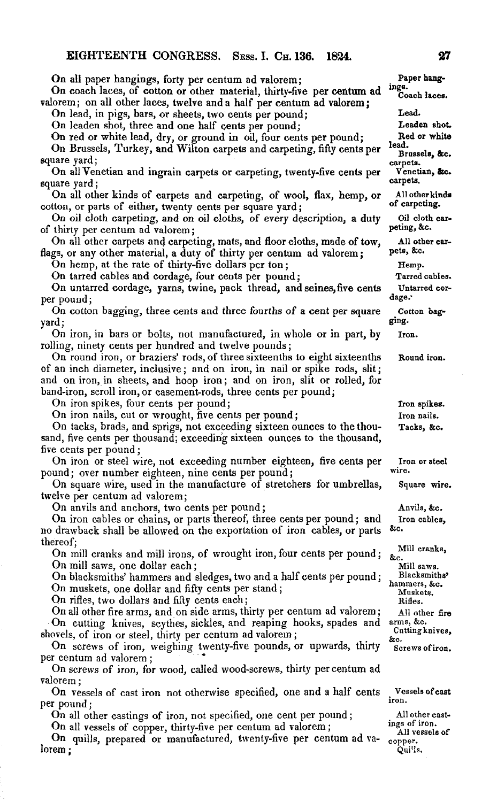On all paper hangings, forty per centum ad valorem; On coach laces, of cotton or other material, thirty-five per centum ad valorem; on all other laces, twelve and a half per centum ad valorem; On lead, in pigs, bars, or sheets, two cents per pound; On leaden shot, three and one half cents per pound; On red or white lead, dry, or ground in oil, four cents per pound; On Brussels, Turkey, and Wilton carpets and carpeting, fifty cents per square yard; On all Venetian and ingrain carpets or carpeting, twenty-five cents per square yard; On all other kinds of carpets and carpeting, of wool, flax, hemp, or cotton, or parts of either, twenty cents per square yard; On oil cloth carpeting, and on oil cloths, of every description, a duty of thirty per centum ad valorem; On all other carpets and carpeting, mats, and floor cloths, made of tow, flags, or any other material, a duty of thirty per centum ad valorem; On hemp, at the rate of thirty-five dollars per ton; On tarred cables and cordage, four cents per pound; On untarred cordage, yarns, twine, pack thread, and seines,five cents per pound; On cotton bagging, three cents and three fourths of a cent per square yard; On iron, in bars or bolts, not manufactured, in whole or in part, by rolling, ninety cents per hundred and twelve pounds; On round iron, or braziers' rods, of three sixteenths to eight sixteenths of an inch diameter, inclusive; and on iron, in nail or spike rods, slit; and on iron, in sheets, and hoop iron; and on iron, slit or rolled, for band-iron, scroll iron, or casement-rods, three cents per pound; On iron spikes, four cents per pound; On iron nails, cut or wrought, five cents per pound; On tacks, brads, and sprigs, not exceeding sixteen ounces to the thousand, five cents per thousand; exceeding sixteen ounces to the thousand, five cents per pound; On iron or steel wire, not exceeding number eighteen, five cents per pound; over number eighteen, nine cents per pound; On square wire, used in the manufacture of stretchers for umbrellas, twelve per centum ad valorem; On anvils and anchors, two cents per pound; On iron cables or chains, or parts thereof, three cents per pound; and no drawback shall be allowed on the exportation of iron cables, or parts thereof; On mill cranks and mill irons, of wrought iron, four cents per pound; **Paper hangings.** Coach laces. **Lead. Leaden shot. Red or white lead.** Brussels, &c. **carpets. Venetian, See. carpets. All otherkinds of carpeting. Oil cloth carpeting,** <sup>S</sup>ec. **All other carpets,** <sup>S</sup>ec. Hemp. Tarred cables. Untarred cordage. **Cotton baggingiron. Round iron.** Iron spikes. Iron nails. Tacks, &c. Iron or steel wire. Square wire. Anvils, &c. Iron cables, Sec. Mill cranks, Sec.

On mill saws, one dollar each;

On blacksmiths' hammers and sledges, two and a half cents per pound; On muskets, one dollar and fifty cents per stand;

On rifles, two dollars and fifty cents each ;

On all other fire arms, and on side arms, thirty per centum ad valorem; On cutting knives, scythes, sickles, and reaping hooks, spades and shovels, of iron or steel, thirty per centum ad valorem;

On screws of iron, weighing twenty-five pounds, or upwards, thirty per centum ad valorem ;

On screws of iron, for wood, called wood-screws, thirty per centum ad valorem;

On vessels of cast iron not otherwise specified, one and a half cents per pound;

On all other castings of iron, not specified, one cent per pound;

On all vessels of copper, thirty-five per centum ad valorem;

On quills, prepared or manufactured, twenty-five per centum ad valorem ;

Mill saws. Blacksmiths' hammers, &c. Muskets. Rides. All other fire arms, &c. Cutting knives,

Screws ofiron.

Sec.

Vessels ofcast iron.

All other castings of iron. All vessels of copper. Qui'ls.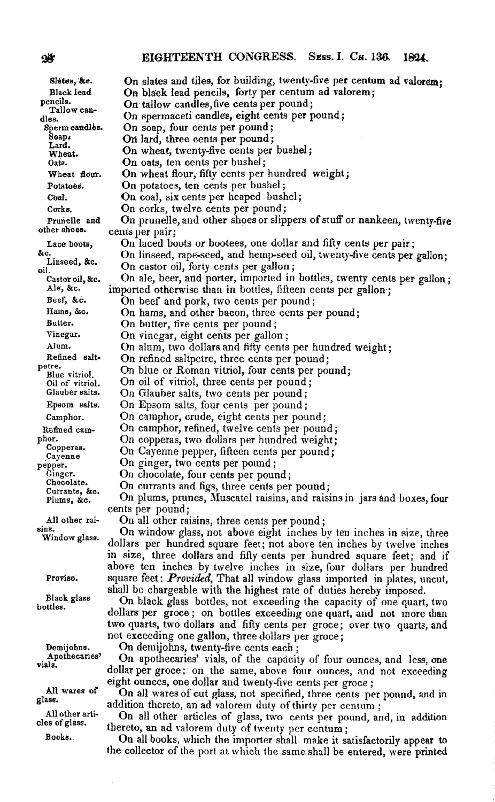| Slates, &c.                  | On slates and tiles, for building, twenty-five per centum ad valorem;     |
|------------------------------|---------------------------------------------------------------------------|
| Black lead                   | On black lead pencils, forty per centum ad valorem;                       |
| pencils.                     | On tallow candles, five cents per pound;                                  |
| Tallow can-<br>dles.         | On spermaceti candles, eight cents per pound;                             |
| Sperm candles.               | On soap, four cents per pound;                                            |
| Soap.                        | On lard, three cents per pound;                                           |
| Lard.                        | On wheat, twenty-five cents per bushel;                                   |
| Wheat.<br>Oats.              | On oats, ten cents per bushel;                                            |
| Wheat flour.                 | On wheat flour, fifty cents per hundred weight;                           |
| Potatoes.                    | On potatoes, ten cents per bushel;                                        |
| Coal.                        | On coal, six cents per heaped bushel;                                     |
| Corks.                       | On corks, twelve cents per pound;                                         |
|                              | On prunelle, and other shoes or slippers of stuff or nankeen, twenty-five |
| Prunelle and<br>other shoes. |                                                                           |
|                              | cents per pair;                                                           |
| Lace boots,<br>āс.           | On laced boots or bootees, one dollar and fifty cents per pair;           |
| Linseed, &c.                 | On linseed, rape-seed, and hemp-seed oil, twenty-five cents per gallon:   |
| oil.                         | On castor oil, forty cents per gallon;                                    |
| Castor oil, &c.              | On ale, beer, and porter, imported in bottles, twenty cents per gallon;   |
| Ale, &c.                     | imported otherwise than in bottles, fifteen cents per gallon;             |
| Beef, &c.                    | On beef and pork, two cents per pound;                                    |
| Hams, &c.                    | On hams, and other bacon, three cents per pound;                          |
| Butter.                      | On butter, five cents per pound;                                          |
| Vinegar.                     | On vinegar, eight cents per gallon;                                       |
| Alum.                        | On alum, two dollars and fifty cents per hundred weight;                  |
| Refined salt-<br>petre.      | On refined salipetre, three cents per pound;                              |
| Blue vitriol.                | On blue or Roman vitriol, four cents per pound;                           |
| Oil of vitriol.              | On oil of vitriol, three cents per pound;                                 |
| Glauber salts.               | On Glauber salts, two cents per pound;                                    |
| Epsom saits.                 | On Epsom salts, four cents per pound;                                     |
| Camphor.                     | On camphor, crude, eight cents per pound;                                 |
| Refined cam-                 | On camphor, refined, twelve cents per pound;                              |
| phor.                        | On copperas, two dollars per hundred weight;                              |
| Copperas.<br>Cayenne         | On Cayenne pepper, fifteen cents per pound;                               |
| pepper.                      | On ginger, two cents per pound;                                           |
| Ginger.                      | On chocolate, four cents per pound;                                       |
| Chocolate.<br>Currants, &c.  | On currants and figs, three cents per pound;                              |
| Plums, &c.                   | On plums, prunes, Muscatel raisins, and raisins in jars and boxes, four   |
|                              | cents per pound;                                                          |
| All other rai-               | On all other raisins, three cents per pound;                              |
| sins.<br>Window glass.       | On window glass, not above eight inches by ten inches in size, three      |
|                              | dollars per hundred square feet; not above ten inches by twelve inches    |
|                              | in size, three dollars and fifty cents per hundred square feet; and if    |
|                              | above ten inches by twelve inches in size, four dollars per hundred       |
| Proviso.                     | square feet: Provided, That all window glass imported in plates, uncut,   |
|                              | shall be chargeable with the highest rate of duties hereby imposed.       |
| Black glass<br>bottles.      | On black glass bottles, not exceeding the capacity of one quart, two      |
|                              | dollars per groce; on bottles exceeding one quart, and not more than      |
|                              | two quarts, two dollars and fifty cents per groce; over two quarts, and   |
|                              | not exceeding one gallon, three dollars per groce;                        |
| Demijohns.                   | On demijohns, twenty-five cents each;                                     |
| Apothecaries'                | On apothecaries' vials, of the capacity of four ounces, and less, one     |
| vials.                       | dollar per groce; on the same, above four ounces, and not exceeding       |
|                              | eight ounces, one dollar and twenty-five cents per groce;                 |
| All wares of                 | On all wares of cut glass, not specified, three cents per pound, and in   |
| glass.                       | addition thereto, an ad valorem duty of thirty per centum;                |

All other arti-On all other articles of glass, two cents per pound, and, in addition thereto, an ad valorem duty of twenty per centum;

On all books, which the importer shall make it satisfactorily appear to the collector of the port at which the same shall be entered, were printed

 $25^{\circ}$ 

cles of glass. Books;.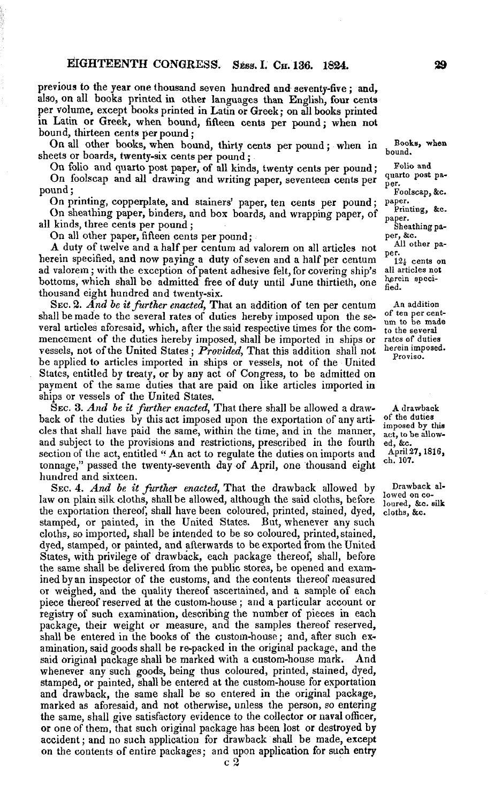previous to the year one thousand seven hundred and seventy-five ; and, also, on all books printed in other languages than English, four cents per volume, except books printed in Latin or Greek; on all books printed in Latin or Greek, when bound, fifteen cents per pound; when not bound, thirteen cents per pound;

On all other books, when bound, thirty cents per pound; when in sheets or boards, twenty-six cents per pound ;

On folio and quarto post paper, of all kinds, twenty cents per pound; On foolscap and all drawing and writing paper, seventeen cents per pound;

On printing, copperplate, and stainers' paper, ten cents per pound; On sheathing paper, binders, and box boards, and wrapping paper, of all kinds, three cents per pound ;

On all other paper, fifteen cents per pound;

A duty of twelve and a half per centum ad valorem on all articles not herein specified, and now paying a duty of seven and a half per centum ad valorem; with the exception of patent adhesive felt, for covering ship's bottoms, which shall be admitted free of duty until June thirtieth, one thousand eight hundred and twenty-six.

Sec. 2. *And be itfurther enacted,* That an addition of ten per centum shall be made to the several rates of duties hereby imposed upon the several articles aforesaid, which, after the said respective limes for the commencement of the duties hereby imposed, shall be imported in ships or vessels, not of the United States; *Provided*, That this addition shall not be applied to articles imported in ships or vessels, not of the United States, entitled by treaty, or by any act of Congress, to be admitted on payment of the same duties that are paid on like articles imported in ships or vessels of the United States.

Sec. 3. *And be it further enacted,* That there shall be allowed a drawback of the duties by this act imposed upon the exportation of any articles that shall have paid the same, within the time, and in the manner, and subject to the provisions and restrictions, prescribed in the fourth section of the act, entitled "An act to regulate the duties on imports and tonnage," passed the twenty-seventh day of April, one thousand eight hundred and sixteen.

Sec. 4. *And be it further enacted,* That the drawback allowed by law on plain silk cloths, shall be allowed, although the said cloths, before the exportation thereof, shall have been coloured, printed, stained, dyed, stamped, or painted, in the United States. But, whenever any such cloths, so imported, shall be intended to be so coloured, printed,stained, dyed, stamped, or painted, and afterwards to be exported from the United States, with privilege of drawback, each package thereof, shall, before the same shall be delivered from the public stores, be opened and examined by an inspector of the customs, and the contents thereof measured or weighed, and the quality thereof ascertained, and a sample of each piece thereof reserved at the custom-house; and a particular account or registry of such examination, describing the number of pieces in each package, their weight or measure, and the samples thereof reserved, shall be entered in the books of the custom-house; and, after such examination, said goods shall be re-packed in the original package, and the said original package shall be marked with a custom-house mark. And whenever any such goods, being thus coloured, printed, stained, dyed, stamped, or painted, shall be entered at the custom-house for exportation and drawback, the same shall be so entered in the original package, marked as aforesaid, and not otherwise, unless the person, so entering the same, shall give satisfactory evidence to the collector or naval officer, or one of them, that such original package has been lost or destroyed by accident; and no such application for drawback shall be made, except on the contents of entire packages; and upon application for such entry

**c2**

Books, when bound.

Folio and quarto post paper. Foolscap, &c. paper. Printing, &c. paper. Sheathing paper, &c. All other paper.

 $12\frac{1}{3}$  cents on all articles not herein specifed.

An addition of ten per centum to be made to the several rates of duties herein imposed. Proviso.

A drawback of the duties imposed by this act, to be allowed, &c. April 27,1816, ch. 107.

Drawback allowed on coloured, &c. silk cloths, &c.